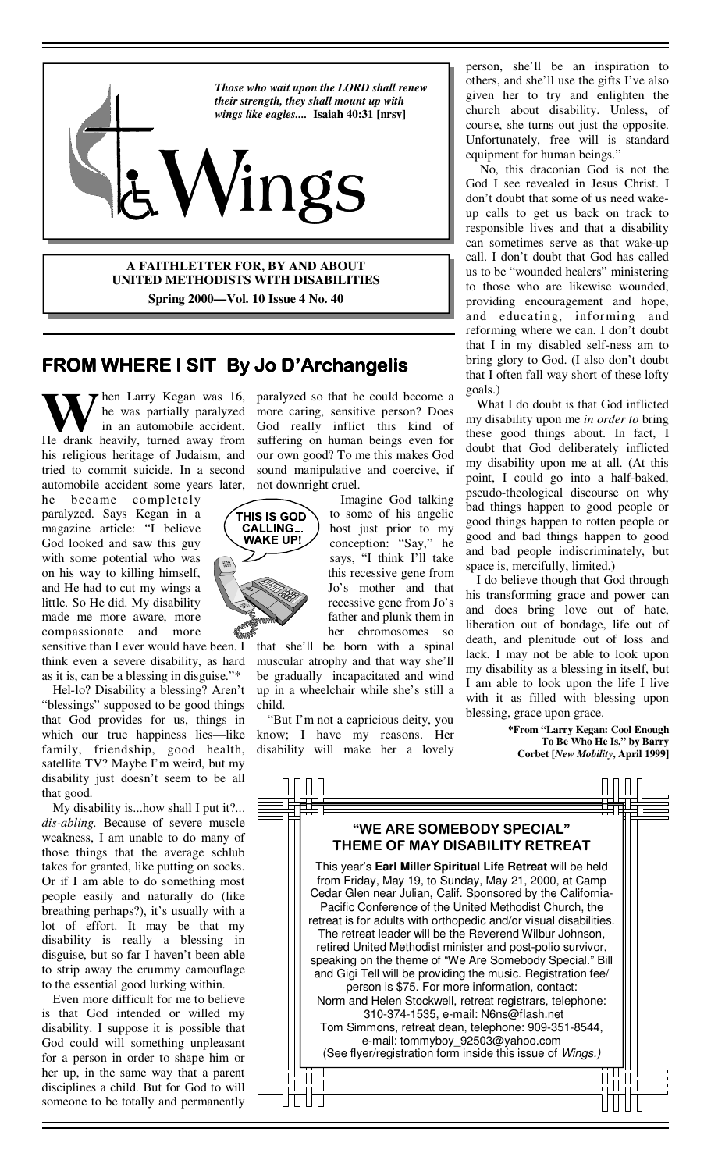

**A FAITHLETTER FOR, BY AND ABOUT UNITED METHODISTS WITH DISABILITIES Spring 2000—Vol. 10 Issue 4 No. 40**

### **FROM WHERE I SIT FROM WHERE I SIT By Jo D'Archangelis D'Archangelis D'Archangelis**

in an automobile accident. He drank heavily, turned away from his religious heritage of Judaism, and tried to commit suicide. In a second automobile accident some years later,

he became completely paralyzed. Says Kegan in a magazine article: "I believe God looked and saw this guy with some potential who was on his way to killing himself, and He had to cut my wings a little. So He did. My disability made me more aware, more compassionate and more

sensitive than I ever would have been. I think even a severe disability, as hard as it is, can be a blessing in disguise."\*

 Hel-lo? Disability a blessing? Aren't "blessings" supposed to be good things that God provides for us, things in which our true happiness lies—like family, friendship, good health, satellite TV? Maybe I'm weird, but my disability just doesn't seem to be all that good.

 My disability is...how shall I put it?... *dis-abling.* Because of severe muscle weakness, I am unable to do many of those things that the average schlub takes for granted, like putting on socks. Or if I am able to do something most people easily and naturally do (like breathing perhaps?), it's usually with a lot of effort. It may be that my disability is really a blessing in disguise, but so far I haven't been able to strip away the crummy camouflage to the essential good lurking within.

 Even more difficult for me to believe is that God intended or willed my disability. I suppose it is possible that God could will something unpleasant for a person in order to shape him or her up, in the same way that a parent disciplines a child. But for God to will someone to be totally and permanently

hen Larry Kegan was 16, paralyzed so that he could become a he was partially paralyzed more caring, sensitive person? Does God really inflict this kind of suffering on human beings even for our own good? To me this makes God sound manipulative and coercive, if not downright cruel.

> Imagine God talking to some of his angelic host just prior to my conception: "Say," he says, "I think I'll take this recessive gene from Jo's mother and that recessive gene from Jo's father and plunk them in her chromosomes so

that she'll be born with a spinal muscular atrophy and that way she'll be gradually incapacitated and wind up in a wheelchair while she's still a child.

 "But I'm not a capricious deity, you know; I have my reasons. Her disability will make her a lovely

person, she'll be an inspiration to others, and she'll use the gifts I've also given her to try and enlighten the church about disability. Unless, of course, she turns out just the opposite. Unfortunately, free will is standard equipment for human beings."

 No, this draconian God is not the God I see revealed in Jesus Christ. I don't doubt that some of us need wakeup calls to get us back on track to responsible lives and that a disability can sometimes serve as that wake-up call. I don't doubt that God has called us to be "wounded healers" ministering to those who are likewise wounded, providing encouragement and hope, and educating, informing and reforming where we can. I don't doubt that I in my disabled self-ness am to bring glory to God. (I also don't doubt that I often fall way short of these lofty goals.)

 What I do doubt is that God inflicted my disability upon me *in order to* bring these good things about. In fact, I doubt that God deliberately inflicted my disability upon me at all. (At this point, I could go into a half-baked, pseudo-theological discourse on why bad things happen to good people or good things happen to rotten people or good and bad things happen to good and bad people indiscriminately, but space is, mercifully, limited.)

 I do believe though that God through his transforming grace and power can and does bring love out of hate, liberation out of bondage, life out of death, and plenitude out of loss and lack. I may not be able to look upon my disability as a blessing in itself, but I am able to look upon the life I live with it as filled with blessing upon blessing, grace upon grace.

> **\*From "Larry Kegan: Cool Enough To Be Who He Is," by Barry Corbet [***New Mobility***, April 1999]**



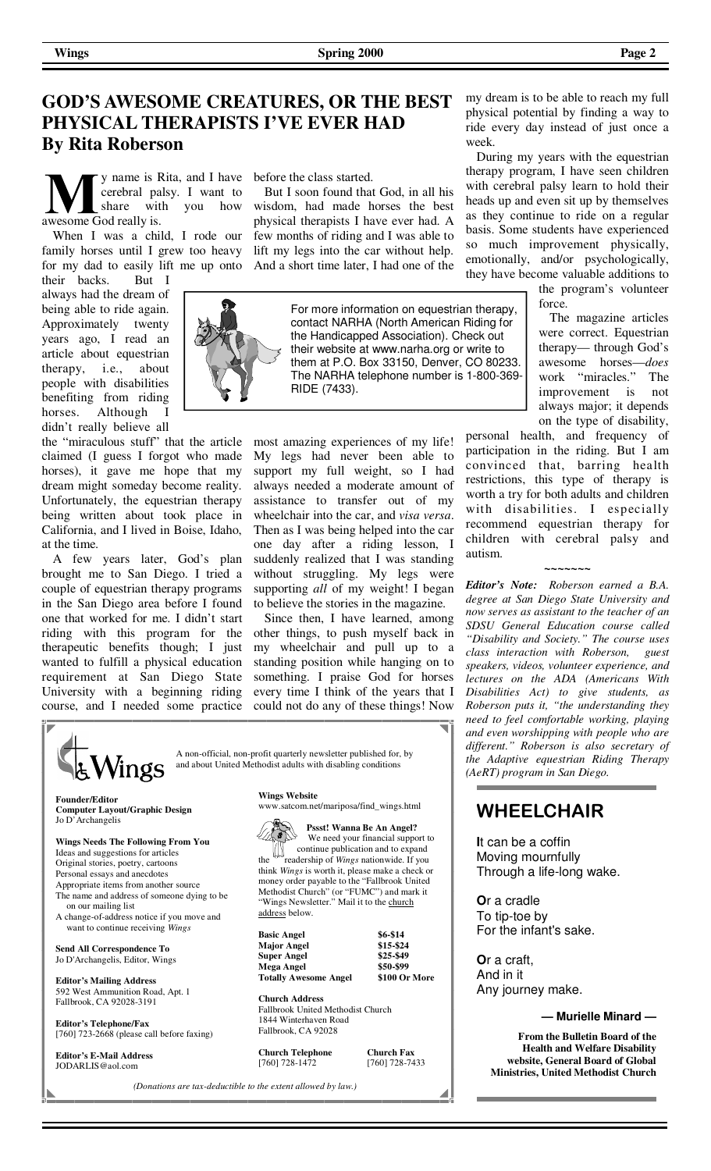# **GOD'S AWESOME CREATURES, OR THE BEST PHYSICAL THERAPISTS I'VE EVER HAD By Rita Roberson**

y name is Rita, and I have before the class started. cerebral palsy. I want to awesome God really is.

 When I was a child, I rode our family horses until I grew too heavy for my dad to easily lift me up onto

their backs. But I always had the dream of being able to ride again. Approximately twenty years ago, I read an article about equestrian therapy, i.e., about people with disabilities benefiting from riding horses. Although I didn't really believe all

the "miraculous stuff" that the article claimed (I guess I forgot who made horses), it gave me hope that my dream might someday become reality. Unfortunately, the equestrian therapy being written about took place in California, and I lived in Boise, Idaho, at the time.

 A few years later, God's plan brought me to San Diego. I tried a couple of equestrian therapy programs in the San Diego area before I found one that worked for me. I didn't start riding with this program for the therapeutic benefits though; I just wanted to fulfill a physical education requirement at San Diego State University with a beginning riding course, and I needed some practice

share with you how wisdom, had made horses the best But I soon found that God, in all his physical therapists I have ever had. A few months of riding and I was able to lift my legs into the car without help. And a short time later, I had one of the

For more information on equestrian therapy, contact NARHA (North American Riding for the Handicapped Association). Check out their website at www.narha.org or write to them at P.O. Box 33150, Denver, CO 80233. The NARHA telephone number is 1-800-369- RIDE (7433).

most amazing experiences of my life! My legs had never been able to support my full weight, so I had always needed a moderate amount of assistance to transfer out of my wheelchair into the car, and *visa versa*. Then as I was being helped into the car one day after a riding lesson, I suddenly realized that I was standing without struggling. My legs were supporting *all* of my weight! I began to believe the stories in the magazine.

 Since then, I have learned, among other things, to push myself back in my wheelchair and pull up to a standing position while hanging on to something. I praise God for horses every time I think of the years that I could not do any of these things! Now



**Founder/Editor Computer Layout/Graphic Design**  Jo D'Archangelis

**Wings Needs The Following From You**  Ideas and suggestions for articles Original stories, poetry, cartoons Personal essays and anecdotes Appropriate items from another source The name and address of someone dying to be on our mailing list

A change-of-address notice if you move and want to continue receiving *Wings*

**Send All Correspondence To**  Jo D'Archangelis, Editor, Wings

**Editor's Mailing Address**  592 West Ammunition Road, Apt. 1 Fallbrook, CA 92028-3191

**Editor's Telephone/Fax**  [760] 723-2668 (please call before faxing)

**Editor's E-Mail Address** JODARLIS@aol.com

**Wings Website**

address below.





| <b>Basic Angel</b>           | \$6-\$14      |
|------------------------------|---------------|
| <b>Major Angel</b>           | \$15-\$24     |
| <b>Super Angel</b>           | \$25-\$49     |
| Mega Angel                   | \$50-\$99     |
| <b>Totally Awesome Angel</b> | \$100 Or More |

**Church Address**  Fallbrook United Methodist Church 1844 Winterhaven Road Fallbrook, CA 92028

**Church Telephone Church Fax** [760] 728-1472 [760] 728-7433

*(Donations are tax-deductible to the extent allowed by law.)*

my dream is to be able to reach my full physical potential by finding a way to ride every day instead of just once a week.

 During my years with the equestrian therapy program, I have seen children with cerebral palsy learn to hold their heads up and even sit up by themselves as they continue to ride on a regular basis. Some students have experienced so much improvement physically, emotionally, and/or psychologically, they have become valuable additions to

> the program's volunteer force.

> The magazine articles were correct. Equestrian therapy— through God's awesome horses—*does* work "miracles" improvement is not always major; it depends on the type of disability,

personal health, and frequency of participation in the riding. But I am convinced that, barring health restrictions, this type of therapy is worth a try for both adults and children with disabilities. I especially recommend equestrian therapy for children with cerebral palsy and autism.

**~~~~~~~**

*Editor's Note: Roberson earned a B.A. degree at San Diego State University and now serves as assistant to the teacher of an SDSU General Education course called "Disability and Society." The course uses class interaction with Roberson, guest speakers, videos, volunteer experience, and lectures on the ADA (Americans With Disabilities Act) to give students, as Roberson puts it, "the understanding they need to feel comfortable working, playing and even worshipping with people who are different." Roberson is also secretary of the Adaptive equestrian Riding Therapy (AeRT) program in San Diego.*

### **WHEELCHAIR**

**I**t can be a coffin Moving mournfully Through a life-long wake.

**O**r a cradle To tip-toe by For the infant's sake.

**O**r a craft, And in it Any journey make.

#### **— Murielle Minard —**

**From the Bulletin Board of the Health and Welfare Disability website, General Board of Global Ministries, United Methodist Church**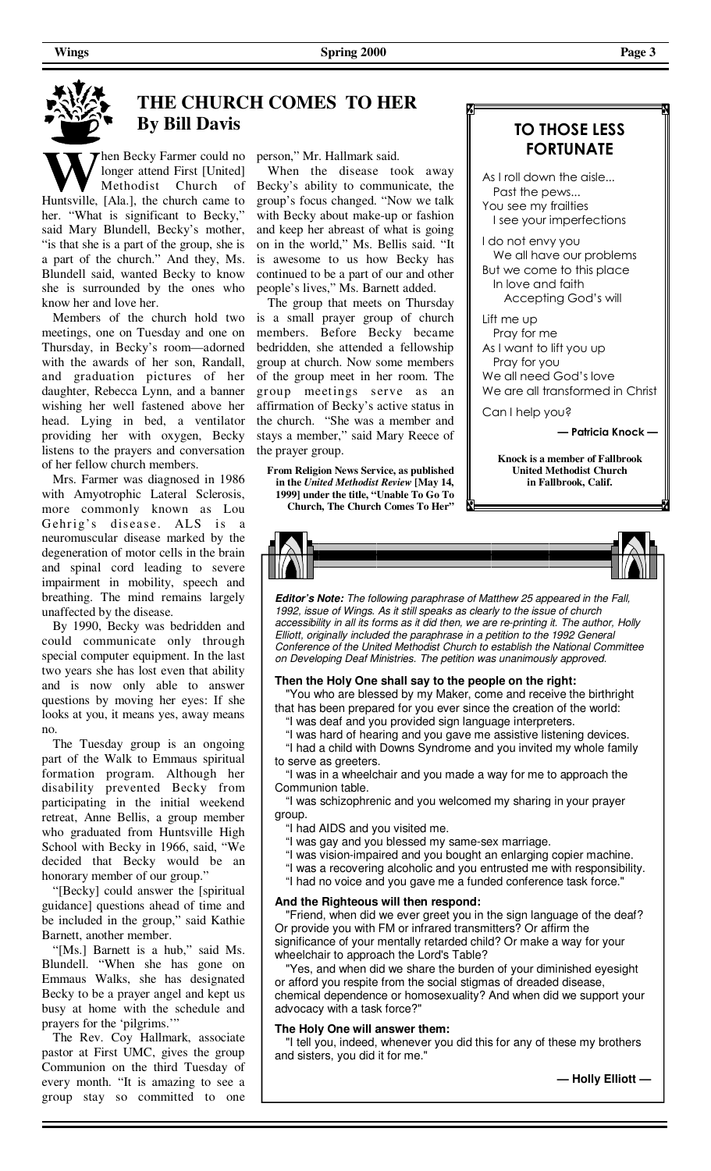

# **THE CHURCH COMES TO HER By Bill Davis**

hen Becky Farmer could no longer attend First [United] Methodist Church of Huntsville, [Ala.], the church came to her. "What is significant to Becky," said Mary Blundell, Becky's mother, "is that she is a part of the group, she is a part of the church." And they, Ms. Blundell said, wanted Becky to know she is surrounded by the ones who know her and love her.

 Members of the church hold two meetings, one on Tuesday and one on Thursday, in Becky's room—adorned with the awards of her son, Randall, and graduation pictures of her daughter, Rebecca Lynn, and a banner wishing her well fastened above her head. Lying in bed, a ventilator providing her with oxygen, Becky listens to the prayers and conversation of her fellow church members.

 Mrs. Farmer was diagnosed in 1986 with Amyotrophic Lateral Sclerosis, more commonly known as Lou Gehrig's disease. ALS is a neuromuscular disease marked by the degeneration of motor cells in the brain and spinal cord leading to severe impairment in mobility, speech and breathing. The mind remains largely unaffected by the disease.

 By 1990, Becky was bedridden and could communicate only through special computer equipment. In the last two years she has lost even that ability and is now only able to answer questions by moving her eyes: If she looks at you, it means yes, away means no.

 The Tuesday group is an ongoing part of the Walk to Emmaus spiritual formation program. Although her disability prevented Becky from participating in the initial weekend retreat, Anne Bellis, a group member who graduated from Huntsville High School with Becky in 1966, said, "We decided that Becky would be an honorary member of our group."

 "[Becky] could answer the [spiritual guidance] questions ahead of time and be included in the group," said Kathie Barnett, another member.

 "[Ms.] Barnett is a hub," said Ms. Blundell. "When she has gone on Emmaus Walks, she has designated Becky to be a prayer angel and kept us busy at home with the schedule and prayers for the 'pilgrims.'

 The Rev. Coy Hallmark, associate pastor at First UMC, gives the group Communion on the third Tuesday of every month. "It is amazing to see a group stay so committed to one

person," Mr. Hallmark said.

 When the disease took away Becky's ability to communicate, the group's focus changed. "Now we talk with Becky about make-up or fashion and keep her abreast of what is going on in the world," Ms. Bellis said. "It is awesome to us how Becky has continued to be a part of our and other people's lives," Ms. Barnett added.

 The group that meets on Thursday is a small prayer group of church members. Before Becky became bedridden, she attended a fellowship group at church. Now some members of the group meet in her room. The group meetings serve as an affirmation of Becky's active status in the church. "She was a member and stays a member," said Mary Reece of the prayer group.

**From Religion News Service, as published in the** *United Methodist Review* **[May 14, 1999] under the title, "Unable To Go To Church, The Church Comes To Her"**

### **TO THOSE LESS FORTUNATE**

As I roll down the aisle... Past the pews... You see my frailties I see your imperfections I do not envy you

 We all have our problems But we come to this place In love and faith Accepting God's will

Lift me up Pray for me As I want to lift you up Pray for you We all need God's love We are all transformed in Christ

Can I help you?

**— Patricia Knock —**

**Knock is a member of Fallbrook United Methodist Church in Fallbrook, Calif.** 



**Editor's Note:** The following paraphrase of Matthew 25 appeared in the Fall, 1992, issue of Wings. As it still speaks as clearly to the issue of church accessibility in all its forms as it did then, we are re-printing it. The author, Holly Elliott, originally included the paraphrase in a petition to the 1992 General Conference of the United Methodist Church to establish the National Committee on Developing Deaf Ministries. The petition was unanimously approved.

### **Then the Holy One shall say to the people on the right:**

You who are blessed by my Maker, come and receive the birthright that has been prepared for you ever since the creation of the world:

"I was deaf and you provided sign language interpreters.

 "I was hard of hearing and you gave me assistive listening devices. "I had a child with Downs Syndrome and you invited my whole family to serve as greeters.

 "I was in a wheelchair and you made a way for me to approach the Communion table.

 "I was schizophrenic and you welcomed my sharing in your prayer group.

"I had AIDS and you visited me.

- "I was gay and you blessed my same-sex marriage.
- "I was vision-impaired and you bought an enlarging copier machine.
- "I was a recovering alcoholic and you entrusted me with responsibility.
- "I had no voice and you gave me a funded conference task force."

### **And the Righteous will then respond:**

 "Friend, when did we ever greet you in the sign language of the deaf? Or provide you with FM or infrared transmitters? Or affirm the significance of your mentally retarded child? Or make a way for your wheelchair to approach the Lord's Table?

Yes, and when did we share the burden of your diminished eyesight or afford you respite from the social stigmas of dreaded disease, chemical dependence or homosexuality? And when did we support your advocacy with a task force?"

### **The Holy One will answer them:**

 "I tell you, indeed, whenever you did this for any of these my brothers and sisters, you did it for me."

**— Holly Elliott —**